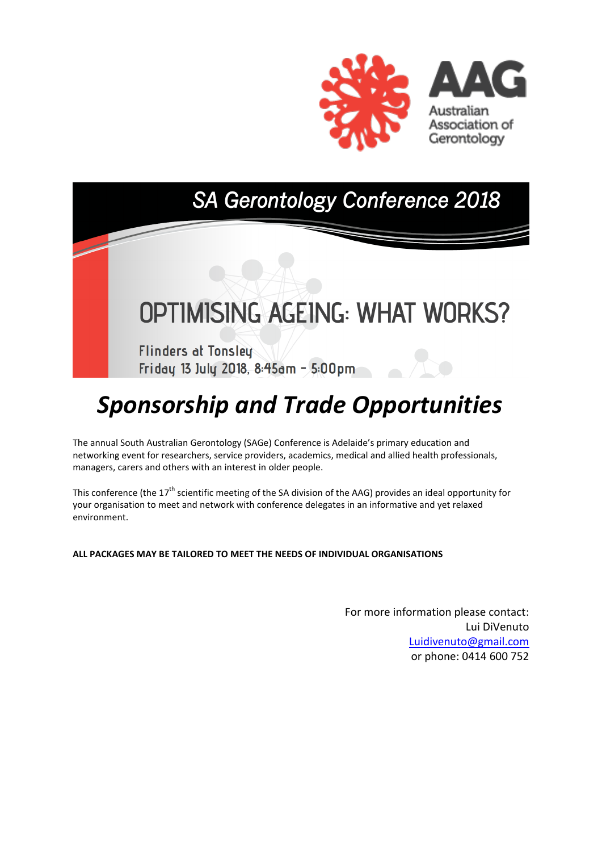

# SA Gerontology Conference 2018

# OPTIMISING AGEING: WHAT WORKS?

**Flinders at Tonsley** Friday 13 July 2018, 8:45am - 5:00pm

# *Sponsorship and Trade Opportunities*

The annual South Australian Gerontology (SAGe) Conference is Adelaide's primary education and networking event for researchers, service providers, academics, medical and allied health professionals, managers, carers and others with an interest in older people.

This conference (the 17<sup>th</sup> scientific meeting of the SA division of the AAG) provides an ideal opportunity for your organisation to meet and network with conference delegates in an informative and yet relaxed environment.

**ALL PACKAGES MAY BE TAILORED TO MEET THE NEEDS OF INDIVIDUAL ORGANISATIONS** 

For more information please contact: Lui DiVenuto [Luidivenuto@gmail.com](mailto:Luidivenuto@gmail.com) or phone: 0414 600 752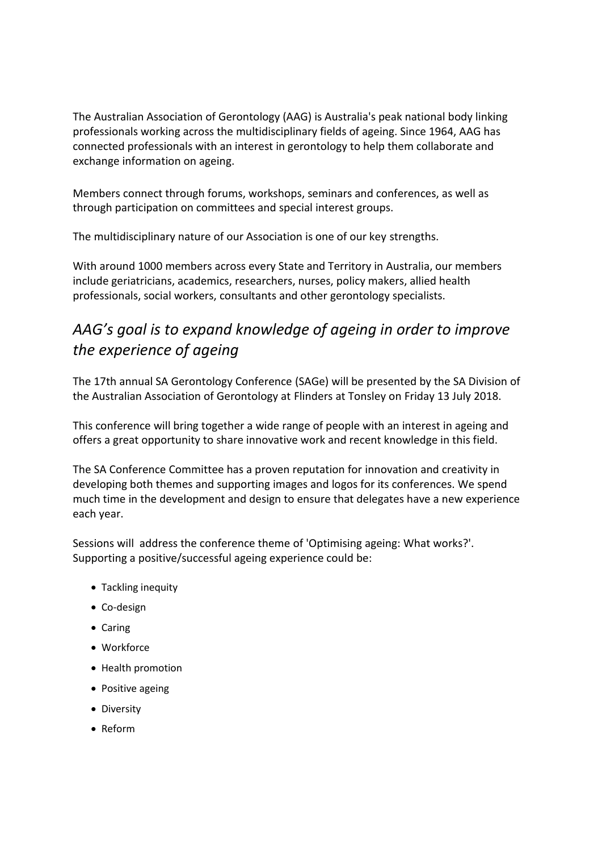The Australian Association of Gerontology (AAG) is Australia's peak national body linking professionals working across the multidisciplinary fields of ageing. Since 1964, AAG has connected professionals with an interest in gerontology to help them collaborate and exchange information on ageing.

Members connect through forums, workshops, seminars and conferences, as well as through participation on committees and special interest groups.

The multidisciplinary nature of our Association is one of our key strengths.

With around 1000 members across every State and Territory in Australia, our members include geriatricians, academics, researchers, nurses, policy makers, allied health professionals, social workers, consultants and other gerontology specialists.

## *AAG's goal is to expand knowledge of ageing in order to improve the experience of ageing*

The 17th annual SA Gerontology Conference (SAGe) will be presented by the SA Division of the Australian Association of Gerontology at Flinders at Tonsley on Friday 13 July 2018.

This conference will bring together a wide range of people with an interest in ageing and offers a great opportunity to share innovative work and recent knowledge in this field.

The SA Conference Committee has a proven reputation for innovation and creativity in developing both themes and supporting images and logos for its conferences. We spend much time in the development and design to ensure that delegates have a new experience each year.

Sessions will address the conference theme of 'Optimising ageing: What works?'. Supporting a positive/successful ageing experience could be:

- Tackling inequity
- Co-design
- Caring
- Workforce
- Health promotion
- Positive ageing
- Diversity
- Reform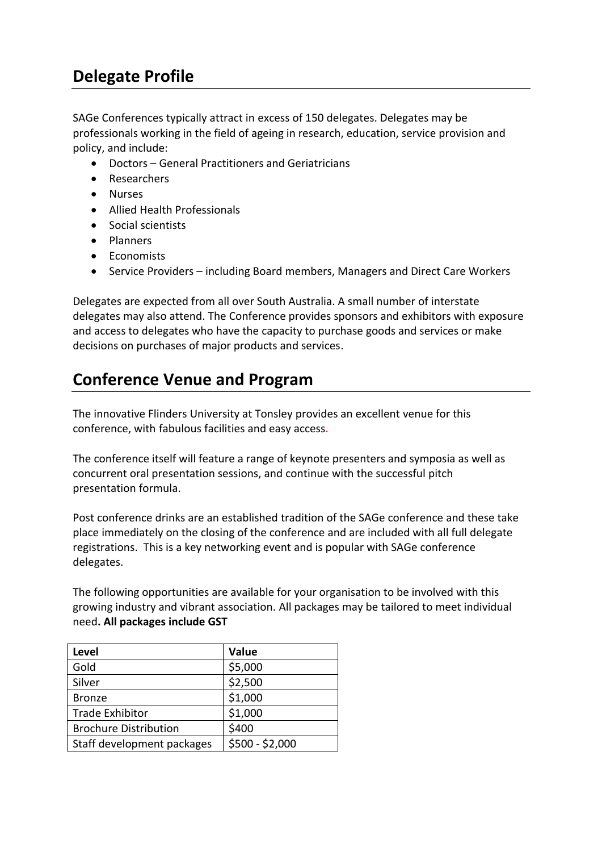# **Delegate Profile**

SAGe Conferences typically attract in excess of 150 delegates. Delegates may be professionals working in the field of ageing in research, education, service provision and policy, and include:

- Doctors General Practitioners and Geriatricians
- Researchers
- Nurses
- Allied Health Professionals
- Social scientists
- **•** Planners
- Economists
- Service Providers including Board members, Managers and Direct Care Workers

Delegates are expected from all over South Australia. A small number of interstate delegates may also attend. The Conference provides sponsors and exhibitors with exposure and access to delegates who have the capacity to purchase goods and services or make decisions on purchases of major products and services.

# **Conference Venue and Program**

The innovative Flinders University at Tonsley provides an excellent venue for this conference, with fabulous facilities and easy access.

The conference itself will feature a range of keynote presenters and symposia as well as concurrent oral presentation sessions, and continue with the successful pitch presentation formula.

Post conference drinks are an established tradition of the SAGe conference and these take place immediately on the closing of the conference and are included with all full delegate registrations. This is a key networking event and is popular with SAGe conference delegates.

The following opportunities are available for your organisation to be involved with this growing industry and vibrant association. All packages may be tailored to meet individual need**. All packages include GST**

| <b>Level</b>                 | Value           |
|------------------------------|-----------------|
| Gold                         | \$5,000         |
| Silver                       | \$2,500         |
| <b>Bronze</b>                | \$1,000         |
| <b>Trade Exhibitor</b>       | \$1,000         |
| <b>Brochure Distribution</b> | \$400           |
| Staff development packages   | \$500 - \$2,000 |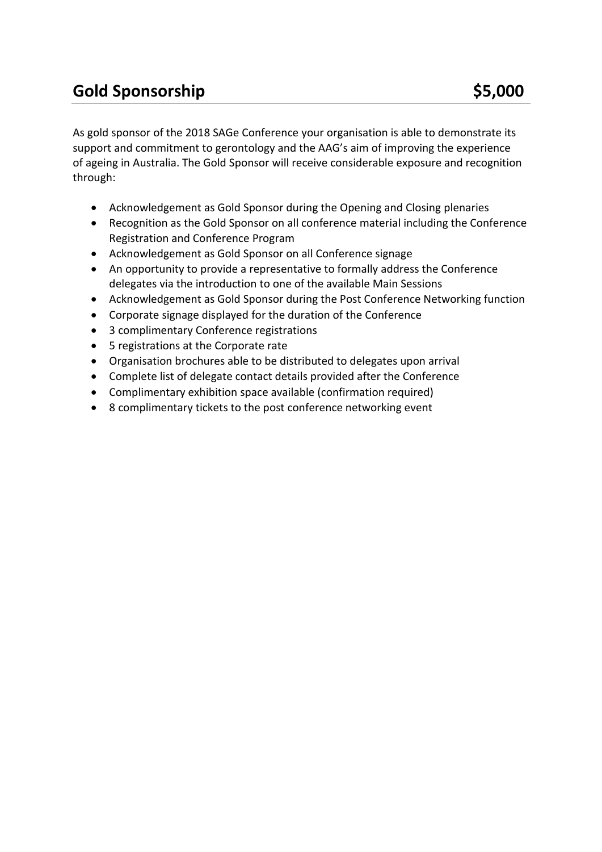As gold sponsor of the 2018 SAGe Conference your organisation is able to demonstrate its support and commitment to gerontology and the AAG's aim of improving the experience of ageing in Australia. The Gold Sponsor will receive considerable exposure and recognition through:

- Acknowledgement as Gold Sponsor during the Opening and Closing plenaries
- Recognition as the Gold Sponsor on all conference material including the Conference Registration and Conference Program
- Acknowledgement as Gold Sponsor on all Conference signage
- An opportunity to provide a representative to formally address the Conference delegates via the introduction to one of the available Main Sessions
- Acknowledgement as Gold Sponsor during the Post Conference Networking function
- Corporate signage displayed for the duration of the Conference
- 3 complimentary Conference registrations
- 5 registrations at the Corporate rate
- Organisation brochures able to be distributed to delegates upon arrival
- Complete list of delegate contact details provided after the Conference
- Complimentary exhibition space available (confirmation required)
- 8 complimentary tickets to the post conference networking event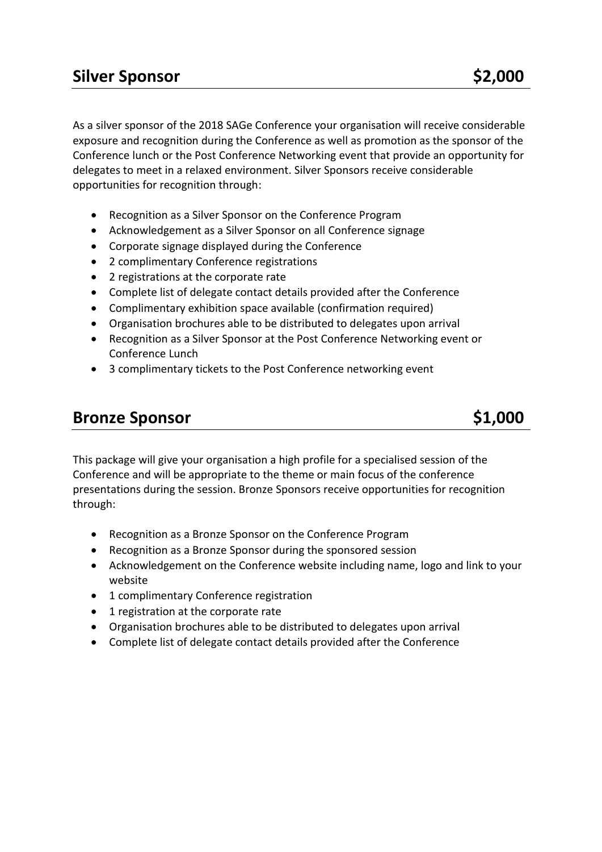As a silver sponsor of the 2018 SAGe Conference your organisation will receive considerable exposure and recognition during the Conference as well as promotion as the sponsor of the Conference lunch or the Post Conference Networking event that provide an opportunity for delegates to meet in a relaxed environment. Silver Sponsors receive considerable opportunities for recognition through:

- Recognition as a Silver Sponsor on the Conference Program
- Acknowledgement as a Silver Sponsor on all Conference signage
- Corporate signage displayed during the Conference
- 2 complimentary Conference registrations
- 2 registrations at the corporate rate
- Complete list of delegate contact details provided after the Conference
- Complimentary exhibition space available (confirmation required)
- Organisation brochures able to be distributed to delegates upon arrival
- Recognition as a Silver Sponsor at the Post Conference Networking event or Conference Lunch
- 3 complimentary tickets to the Post Conference networking event

## **Bronze Sponsor** \$1,000

This package will give your organisation a high profile for a specialised session of the Conference and will be appropriate to the theme or main focus of the conference presentations during the session. Bronze Sponsors receive opportunities for recognition through:

- Recognition as a Bronze Sponsor on the Conference Program
- Recognition as a Bronze Sponsor during the sponsored session
- Acknowledgement on the Conference website including name, logo and link to your website
- 1 complimentary Conference registration
- 1 registration at the corporate rate
- Organisation brochures able to be distributed to delegates upon arrival
- Complete list of delegate contact details provided after the Conference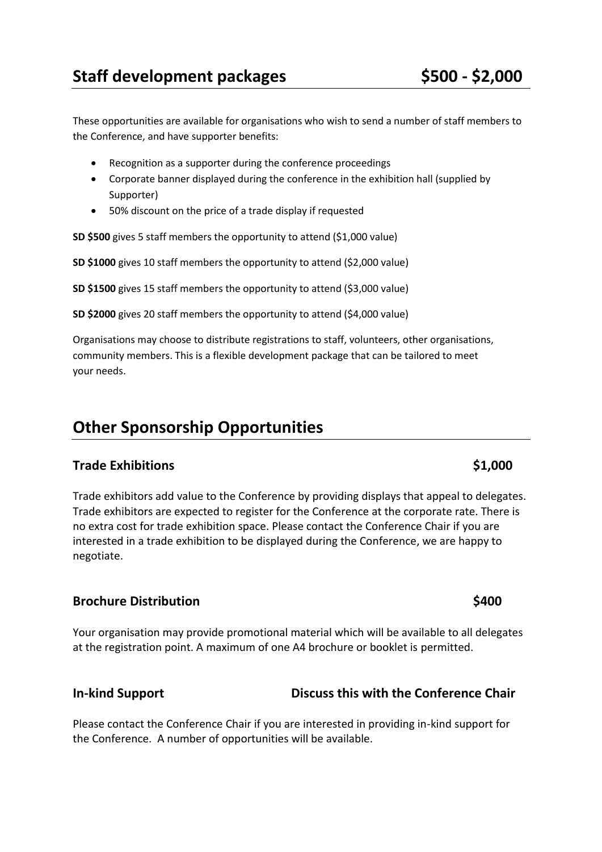These opportunities are available for organisations who wish to send a number of staff members to the Conference, and have supporter benefits:

- Recognition as a supporter during the conference proceedings
- Corporate banner displayed during the conference in the exhibition hall (supplied by Supporter)
- 50% discount on the price of a trade display if requested

**SD \$500** gives 5 staff members the opportunity to attend (\$1,000 value)

**SD \$1000** gives 10 staff members the opportunity to attend (\$2,000 value)

**SD \$1500** gives 15 staff members the opportunity to attend (\$3,000 value)

**SD \$2000** gives 20 staff members the opportunity to attend (\$4,000 value)

Organisations may choose to distribute registrations to staff, volunteers, other organisations, community members. This is a flexible development package that can be tailored to meet your needs.

## **Other Sponsorship Opportunities**

### **Trade Exhibitions** \$1,000

Trade exhibitors add value to the Conference by providing displays that appeal to delegates. Trade exhibitors are expected to register for the Conference at the corporate rate. There is no extra cost for trade exhibition space. Please contact the Conference Chair if you are interested in a trade exhibition to be displayed during the Conference, we are happy to negotiate.

### **Brochure Distribution \$400**

Your organisation may provide promotional material which will be available to all delegates at the registration point. A maximum of one A4 brochure or booklet is permitted.

### **In-kind Support Discuss this with the Conference Chair**

Please contact the Conference Chair if you are interested in providing in-kind support for the Conference. A number of opportunities will be available.